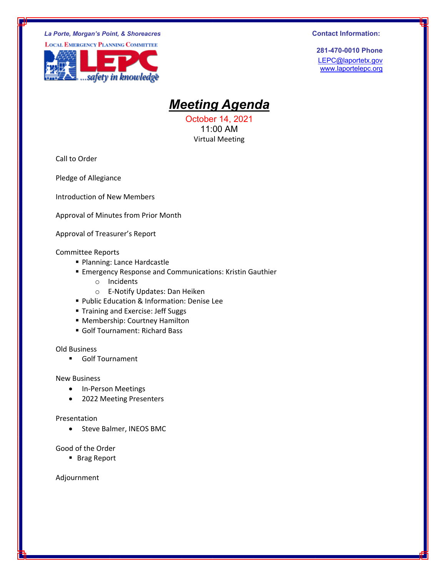*La Porte, Morgan's Point, & Shoreacres* **Contact Information: Contact Information: Contact Information: Contact Information:** 

**LOCAL EMERGENCY PLANNING COMMITTEE** 



**281-470-0010 Phone**  LEPC@laportetx.gov www.laportelepc.org

# *Meeting Agenda*

October 14, 2021 11:00 AM Virtual Meeting

Call to Order

Pledge of Allegiance

Introduction of New Members

Approval of Minutes from Prior Month

Approval of Treasurer's Report

### Committee Reports

- **Planning: Lance Hardcastle**
- **Emergency Response and Communications: Kristin Gauthier** 
	- o Incidents
	- o E‐Notify Updates: Dan Heiken
- **Public Education & Information: Denise Lee**
- **Training and Exercise: Jeff Suggs**
- Membership: Courtney Hamilton
- Golf Tournament: Richard Bass

Old Business

Golf Tournament

#### New Business

- In-Person Meetings
- 2022 Meeting Presenters

#### Presentation

• Steve Balmer, INEOS BMC

Good of the Order

■ Brag Report

Adjournment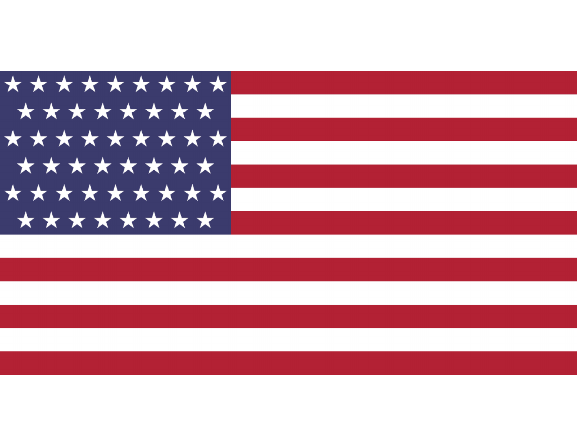

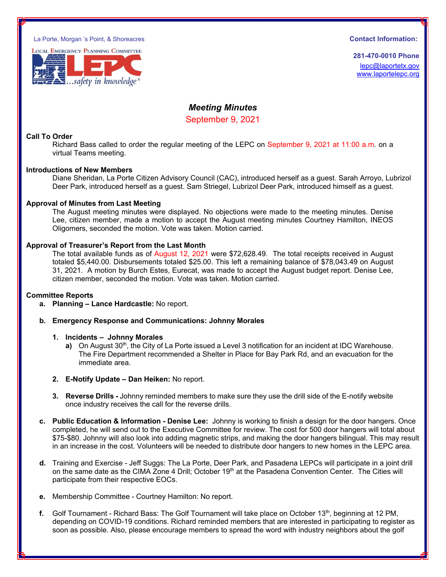La Porte, Morgan 's Point, & Shoreacres**Contact Information:** 



**281-470-0010 Phone**  lepc@laportetx.gov www.laportelepc.org

## *Meeting Minutes*

September 9, 2021

### **Call To Order**

Richard Bass called to order the regular meeting of the LEPC on September 9, 2021 at 11:00 a.m. on a virtual Teams meeting.

### **Introductions of New Members**

Diane Sheridan, La Porte Citizen Advisory Council (CAC), introduced herself as a guest. Sarah Arroyo, Lubrizol Deer Park, introduced herself as a guest. Sam Striegel, Lubrizol Deer Park, introduced himself as a guest.

### **Approval of Minutes from Last Meeting**

The August meeting minutes were displayed. No objections were made to the meeting minutes. Denise Lee, citizen member, made a motion to accept the August meeting minutes Courtney Hamilton, INEOS Oligomers, seconded the motion. Vote was taken. Motion carried.

### **Approval of Treasurer's Report from the Last Month**

The total available funds as of August 12, 2021 were \$72,628.49. The total receipts received in August totaled \$5,440.00. Disbursements totaled \$25.00. This left a remaining balance of \$78,043.49 on August 31, 2021. A motion by Burch Estes, Eurecat, was made to accept the August budget report. Denise Lee, citizen member, seconded the motion. Vote was taken. Motion carried.

#### **Committee Reports**

- **a. Planning Lance Hardcastle:** No report.
- **b. Emergency Response and Communications: Johnny Morales**

#### **1. Incidents – Johnny Morales**

- **a)** On August 30<sup>th</sup>, the City of La Porte issued a Level 3 notification for an incident at IDC Warehouse. The Fire Department recommended a Shelter in Place for Bay Park Rd, and an evacuation for the immediate area.
- **2. E-Notify Update Dan Heiken:** No report.
- **3. Reverse Drills** Johnny reminded members to make sure they use the drill side of the E-notify website once industry receives the call for the reverse drills.
- **c. Public Education & Information Denise Lee:** Johnny is working to finish a design for the door hangers. Once completed, he will send out to the Executive Committee for review. The cost for 500 door hangers will total about \$75-\$80. Johnny will also look into adding magnetic strips, and making the door hangers bilingual. This may result in an increase in the cost. Volunteers will be needed to distribute door hangers to new homes in the LEPC area.
- **d.** Training and Exercise Jeff Suggs: The La Porte, Deer Park, and Pasadena LEPCs will participate in a joint drill on the same date as the CIMA Zone 4 Drill; October 19<sup>th</sup> at the Pasadena Convention Center. The Cities will participate from their respective EOCs.
- **e.** Membership Committee Courtney Hamilton: No report.
- **f.** Golf Tournament Richard Bass: The Golf Tournament will take place on October 13<sup>th</sup>, beginning at 12 PM, depending on COVID-19 conditions. Richard reminded members that are interested in participating to register as soon as possible. Also, please encourage members to spread the word with industry neighbors about the golf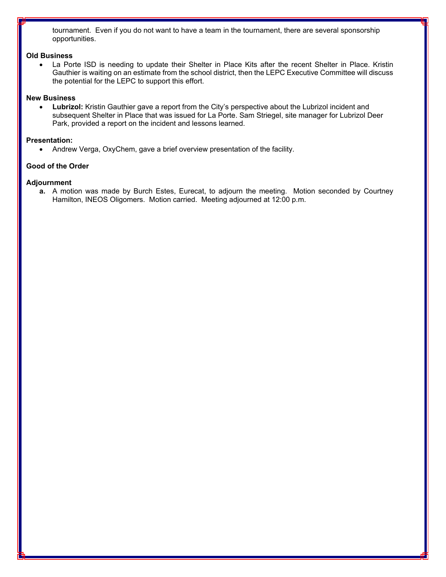tournament. Even if you do not want to have a team in the tournament, there are several sponsorship opportunities.

#### **Old Business**

• La Porte ISD is needing to update their Shelter in Place Kits after the recent Shelter in Place. Kristin Gauthier is waiting on an estimate from the school district, then the LEPC Executive Committee will discuss the potential for the LEPC to support this effort.

### **New Business**

 **Lubrizol:** Kristin Gauthier gave a report from the City's perspective about the Lubrizol incident and subsequent Shelter in Place that was issued for La Porte. Sam Striegel, site manager for Lubrizol Deer Park, provided a report on the incident and lessons learned.

### **Presentation:**

Andrew Verga, OxyChem, gave a brief overview presentation of the facility.

## **Good of the Order**

### **Adjournment**

**a.** A motion was made by Burch Estes, Eurecat, to adjourn the meeting. Motion seconded by Courtney Hamilton, INEOS Oligomers. Motion carried. Meeting adjourned at 12:00 p.m.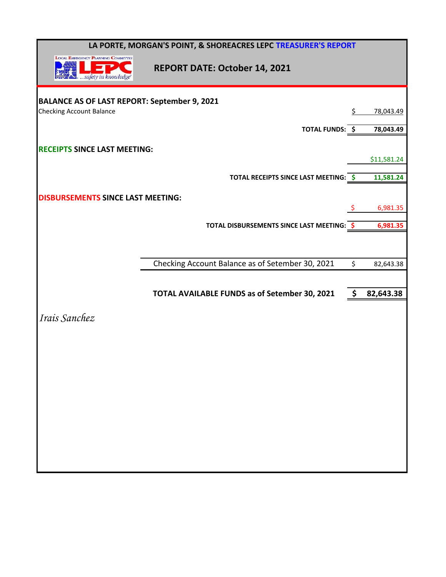| LA PORTE, MORGAN'S POINT, & SHOREACRES LEPC TREASURER'S REPORT |                                                  |    |             |  |  |
|----------------------------------------------------------------|--------------------------------------------------|----|-------------|--|--|
| LOCAL EMERGENCY PLANNING COMMITTEE<br>safety in knowledge*     | REPORT DATE: October 14, 2021                    |    |             |  |  |
| <b>BALANCE AS OF LAST REPORT: September 9, 2021</b>            |                                                  |    |             |  |  |
| <b>Checking Account Balance</b>                                |                                                  | \$ | 78,043.49   |  |  |
|                                                                | <b>TOTAL FUNDS: \$</b>                           |    | 78,043.49   |  |  |
| <b>RECEIPTS SINCE LAST MEETING:</b>                            |                                                  |    |             |  |  |
|                                                                |                                                  |    | \$11,581.24 |  |  |
|                                                                | TOTAL RECEIPTS SINCE LAST MEETING: \$            |    | 11,581.24   |  |  |
|                                                                |                                                  |    |             |  |  |
| <b>DISBURSEMENTS SINCE LAST MEETING:</b>                       |                                                  | -S | 6,981.35    |  |  |
|                                                                | TOTAL DISBURSEMENTS SINCE LAST MEETING: \$       |    | 6,981.35    |  |  |
|                                                                |                                                  |    |             |  |  |
|                                                                |                                                  |    |             |  |  |
|                                                                | Checking Account Balance as of Setember 30, 2021 | \$ | 82,643.38   |  |  |
|                                                                |                                                  |    |             |  |  |
|                                                                | TOTAL AVAILABLE FUNDS as of Setember 30, 2021    | \$ | 82,643.38   |  |  |
| Irais Sanchez                                                  |                                                  |    |             |  |  |
|                                                                |                                                  |    |             |  |  |
|                                                                |                                                  |    |             |  |  |
|                                                                |                                                  |    |             |  |  |
|                                                                |                                                  |    |             |  |  |
|                                                                |                                                  |    |             |  |  |
|                                                                |                                                  |    |             |  |  |
|                                                                |                                                  |    |             |  |  |
|                                                                |                                                  |    |             |  |  |
|                                                                |                                                  |    |             |  |  |
|                                                                |                                                  |    |             |  |  |